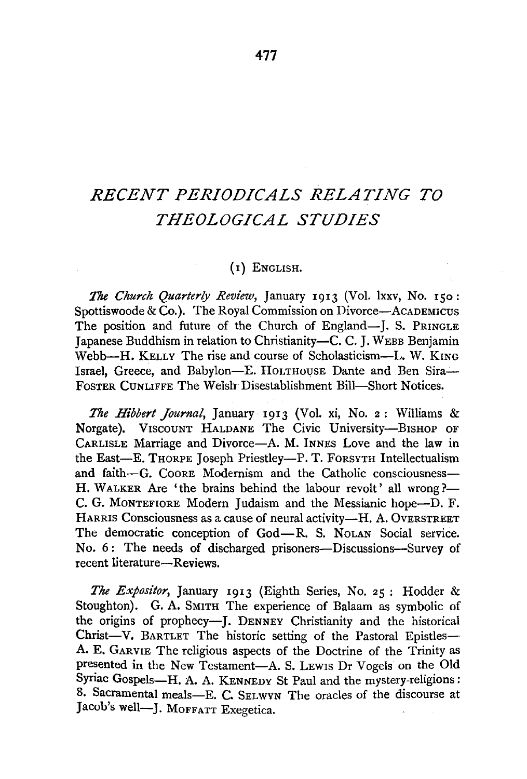# *RECENT PERIODICALS RELATING TO THEOLOGICAL STUDIES*

## (I) ENGLISH.

The *Church Quarterly Review,* January I9I3 (Vol. lxxv, No. ISo: Spottiswoode & Co.). The Royal Commission on Divorce—ACADEMICUS The position and future of the Church of England-J. S. PRINGLE Japanese Buddhism in relation to Christianity-C. C. J. WEBB Benjamin Webb-H. KELLY The rise and course of Scholasticism-L. W. KING Israel, Greece, and Babylon-E. HOLTHOUSE Dante and Ben Sira-FoSTER CUNLIFFE The Welsh- Disestablishment Bill-Short Notices.

*The Hibbert Journal,* January I9I3 (Vol. xi, No. 2 : Williams & Norgate). VISCOUNT HALDANE The Civic University-BISHOP OF CARLISLE Marriage and Divorce-A. M. lNNES Love and the law in the East-E. THORPE Joseph Priestley-P. T. FORSYTH Intellectualism and faith-G. COORE Modernism and the Catholic consciousness-H. WALKER Are 'the brains behind the labour revolt' all wrong?— C. G. MoNTEFIORE Modem Judaism and the Messianic hope-D. F. HARRIS Consciousness as a cause of neural activity-H. A. OVERSTREET The democratic conception of God-R. S. NoLAN Social service. No. 6: The needs of discharged prisoners—Discussions—Survey of recent literature-Reviews.

*The Expositor,* January I9I3 (Eighth Series, No. 25 : Hodder & Stoughton). G. A. SMITH The experience of Balaam as symbolic of the origins of prophecy-**J.** DENNEY Christianity and the historical Christ-V. BARTLET The historic setting of the Pastoral Epistles-A. **E.** GARVIE The religious aspects of the Doctrine of the Trinity as presented in the New Testament-A. S. LEWIS Dr Vogels on the Old Syriac Gospels-H. A. A. KENNEDY St Paul and the mystery-religions: 8. Sacramental meals-E. C. SELWYN The oracles of the discourse at Jacob's well-J. MoFFATT Exegetica.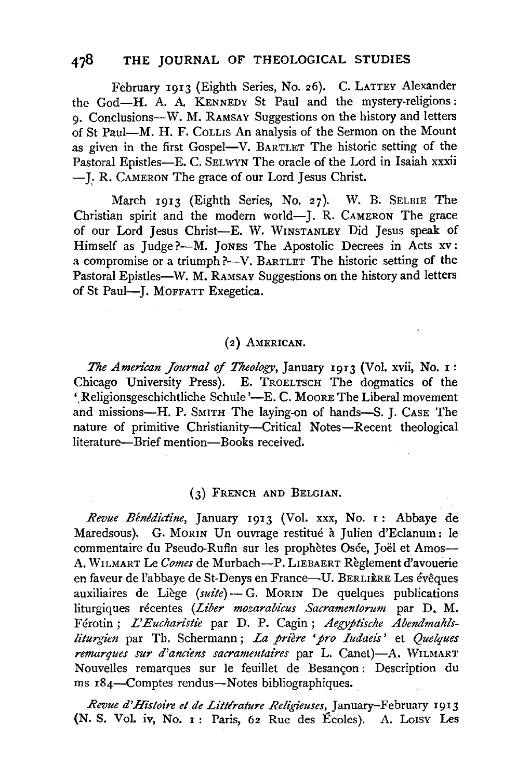# **478 THE JOURNAL OF THEOLOGICAL STUDIES**

February I9I3 (Eighth Series, No. 26). C. LATTEY Alexander the God-H. A. A KENNEDY St Paul and the mystery-religions: 9· Conclusions-W. M. RAMSAY Suggestions on the history and letters of St Paul-M. H. F. CoLLIS An analysis of the Sermon on the Mount as given in the first Gospel-V. BARTLET The historic setting of the Pastoral Epistles-E. C. SELWYN The oracle of the Lord in Isaiah xxxii - **J;** R. CAMERON The grace of our Lord Jesus Christ.

March I9I3 (Eighth Series, No. 27). W. B. SELBIE The Christian spirit and the modern world-J. R. CAMERON The grace of our Lord Jesus Christ-E. W. WINSTANLEY Did Jesus speak of Himself as Judge ?-- M. JONES The Apostolic Decrees in Acts xv: a compromise or a triumph ?--V. BARTLET The historic setting of the Pastoral Epistles-W. M. RAMSAY Suggestions on the history and letters of St Paul-J. MOFFATT Exegetica.

### (2) AMERICAN.

*The American Journal of Theology*, January 1913 (Vol. xvii, No. 1: Chicago University Press). E. TROELTSCH The dogmatics of the '.Religionsgeschichtliche Schule '-E. C. Moore The Liberal movement and missions-H. P. SMITH The laying-on of hands-S. **J.** CASE The nature of primitive Christianity-Critical Notes-Recent theological literature-Brief mention-Books received.

#### (3) FRENCH AND BELGIAN.

*Revue Benldictine,* January I9I3 (Vol. xxx, No. I : Abbaye de Maredsous). G. MORIN Un ouvrage restitué à Julien d'Eclanum: le commentaire du Pseudo-Rufin sur les prophètes Osée, Joël et Amos-A. WILMART Le *Comes* de Murbach-P. LIEBAERT Reglement d'avouerie en faveur de l'abbaye de St-Denys en France-U. BERLIÈRE Les évêques auxiliaires de Liège (suite) - G. MORIN De quelques publications liturgiques recentes *(Liber mozarabicus Sacramentorum* par D. M. Ferotin; *L'Eucharistie* par D. P. Cagin; *Aegyptische Abendmahlsliturgien* par Th. Schermann; *La prière 'pro Iudaeis'* et *Quelques remarques sur d'andens sacramentaires* par L. Canet)-A. WILMART Nouvelles remarques sur le feuillet de Besancon: Description du ms I84-Comptes rendus-Notes bibliographiques.

*Revue d'Histoire et de Littlrature Religieuses,* January-February 1913 (N. S. Vol. iv, No. 1 : Paris, 62 Rue des Ecoles). A. Lorsv Les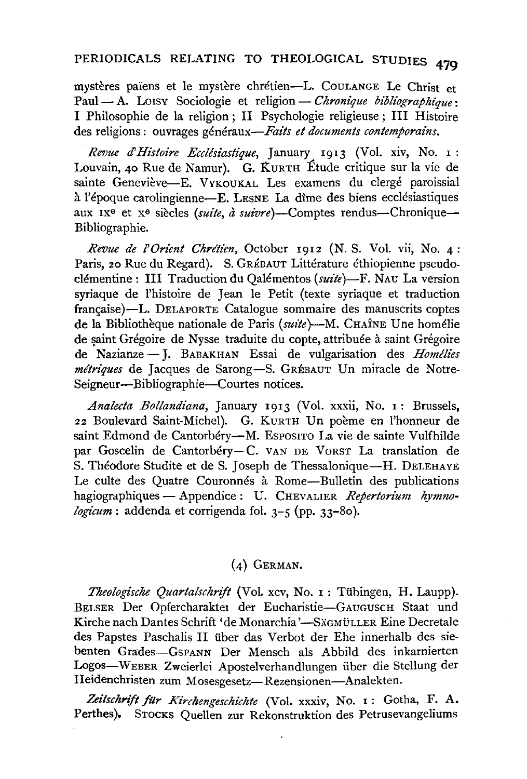# PERIODICALS RELATING TO THEOLOGICAL STUDIES 479

mystères païens et le mystère chrétien-L. COULANGE Le Christ et Paul - A. LOISY Sociologie et religion - Chronique bibliographique: I Philosophie de la religion; II Psychologie religieuse; III Histoire des religions : ouvrages généraux—Faits et documents contemporains.

Revue d'Histoire Ecclésiastique, January 1913 (Vol. xiv, No. 1: Louvain, 40 Rue de Namur). G. KURTH Étude critique sur la vie de sainte Geneviève-E. VYKOUKAL Les examens du clergé paroissial à l'époque carolingienne—E. LESNE La dîme des biens ecclésiastiques aux IX<sup>e</sup> et x<sup>e</sup> siècles (suite, à suivre)—Comptes rendus—Chronique— Bibliographie.

Revue de l'Orient Chrétien, October 1912 (N. S. Vol. vii, No. 4: Paris, 20 Rue du Regard). S. GRÉBAUT Littérature éthiopienne pseudoclémentine : III Traduction du Qalémentos (suite)-F. NAU La version syriaque de l'histoire de Jean le Petit (texte syriaque et traduction française)—L. DELAPORTE Catalogue sommaire des manuscrits coptes de la Bibliothèque nationale de Paris (suite) - M. CHAÎNE Une homélie de saint Grégoire de Nysse traduite du copte, attribuée à saint Grégoire de Nazianze - J. BABAKHAN Essai de vulgarisation des Homélies métriques de Jacques de Sarong-S. GRÉBAUT Un miracle de Notre-Seigneur-Bibliographie-Courtes notices.

Analecta Bollandiana, January 1913 (Vol. xxxii, No. 1: Brussels, 22 Boulevard Saint-Michel). G. KURTH Un poème en l'honneur de saint Edmond de Cantorbéry-M. Esposiro La vie de sainte Vulfhilde par Goscelin de Cantorbéry-C. VAN DE VORST La translation de S. Théodore Studite et de S. Joseph de Thessalonique—H. DELEHAYE Le culte des Quatre Couronnés à Rome-Bulletin des publications hagiographiques - Appendice : U. CHEVALIER Repertorium hymnologicum : addenda et corrigenda fol.  $3-5$  (pp. 33-80).

### $(4)$  GERMAN.

Theologische Quartalschrift (Vol. xcv, No. 1 : Tübingen, H. Laupp). BELSER Der Opfercharakter der Eucharistie-GAUGUSCH Staat und Kirche nach Dantes Schrift 'de Monarchia'—SÄGMÜLLER Eine Decretale des Papstes Paschalis II über das Verbot der Ehe innerhalb des siebenten Grades-GSPANN Der Mensch als Abbild des inkarnierten Logos-WEBER Zweierlei Apostelverhandlungen über die Stellung der Heidenchristen zum Mosesgesetz-Rezensionen-Analekten.

Zeitschrift für Kirchengeschichte (Vol. xxxiv, No. 1: Gotha, F. A. Perthes). STOCKS Quellen zur Rekonstruktion des Petrusevangeliums